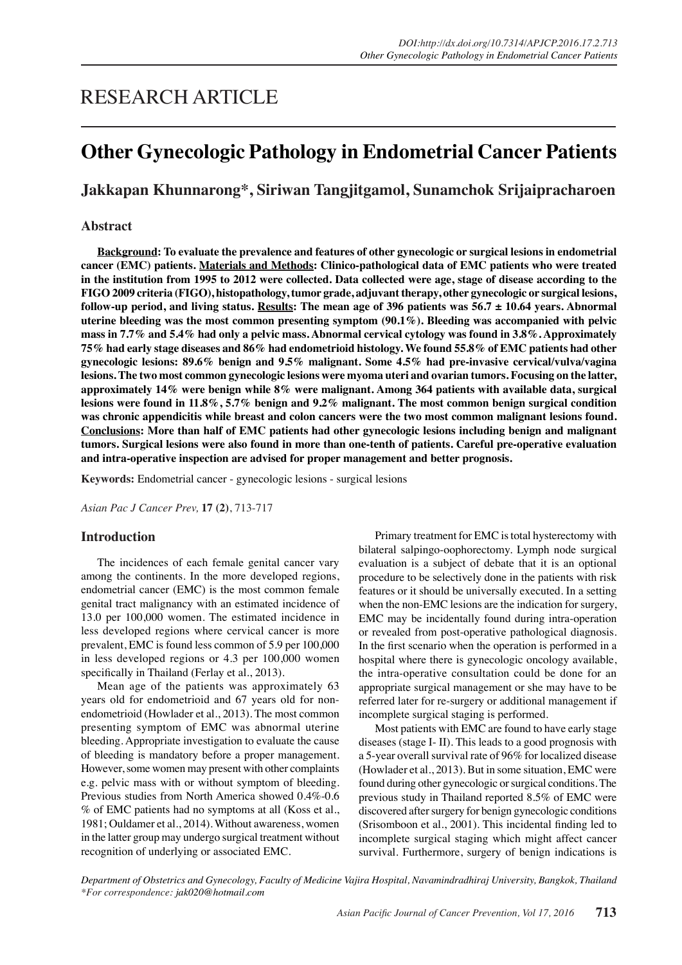# RESEARCH ARTICLE

# **Other Gynecologic Pathology in Endometrial Cancer Patients**

# **Jakkapan Khunnarong\*, Siriwan Tangjitgamol, Sunamchok Srijaipracharoen**

## **Abstract**

**Background: To evaluate the prevalence and features of other gynecologic or surgical lesions in endometrial cancer (EMC) patients. Materials and Methods: Clinico-pathological data of EMC patients who were treated in the institution from 1995 to 2012 were collected. Data collected were age, stage of disease according to the FIGO 2009 criteria (FIGO), histopathology, tumor grade, adjuvant therapy, other gynecologic or surgical lesions, follow-up period, and living status. Results: The mean age of 396 patients was 56.7 ± 10.64 years. Abnormal uterine bleeding was the most common presenting symptom (90.1%). Bleeding was accompanied with pelvic mass in 7.7% and 5.4% had only a pelvic mass. Abnormal cervical cytology was found in 3.8%. Approximately 75% had early stage diseases and 86% had endometrioid histology. We found 55.8% of EMC patients had other gynecologic lesions: 89.6% benign and 9.5% malignant. Some 4.5% had pre-invasive cervical/vulva/vagina lesions. The two most common gynecologic lesions were myoma uteri and ovarian tumors. Focusing on the latter, approximately 14% were benign while 8% were malignant. Among 364 patients with available data, surgical lesions were found in 11.8%, 5.7% benign and 9.2% malignant. The most common benign surgical condition was chronic appendicitis while breast and colon cancers were the two most common malignant lesions found. Conclusions: More than half of EMC patients had other gynecologic lesions including benign and malignant tumors. Surgical lesions were also found in more than one-tenth of patients. Careful pre-operative evaluation and intra-operative inspection are advised for proper management and better prognosis.**

**Keywords:** Endometrial cancer - gynecologic lesions - surgical lesions

*Asian Pac J Cancer Prev,* **17 (2)**, 713-717

#### **Introduction**

The incidences of each female genital cancer vary among the continents. In the more developed regions, endometrial cancer (EMC) is the most common female genital tract malignancy with an estimated incidence of 13.0 per 100,000 women. The estimated incidence in less developed regions where cervical cancer is more prevalent, EMC is found less common of 5.9 per 100,000 in less developed regions or 4.3 per 100,000 women specifically in Thailand (Ferlay et al., 2013).

Mean age of the patients was approximately 63 years old for endometrioid and 67 years old for nonendometrioid (Howlader et al., 2013). The most common presenting symptom of EMC was abnormal uterine bleeding. Appropriate investigation to evaluate the cause of bleeding is mandatory before a proper management. However, some women may present with other complaints e.g. pelvic mass with or without symptom of bleeding. Previous studies from North America showed 0.4%-0.6 % of EMC patients had no symptoms at all (Koss et al., 1981; Ouldamer et al., 2014). Without awareness, women in the latter group may undergo surgical treatment without recognition of underlying or associated EMC.

Primary treatment for EMC is total hysterectomy with bilateral salpingo-oophorectomy. Lymph node surgical evaluation is a subject of debate that it is an optional procedure to be selectively done in the patients with risk features or it should be universally executed. In a setting when the non-EMC lesions are the indication for surgery, EMC may be incidentally found during intra-operation or revealed from post-operative pathological diagnosis. In the first scenario when the operation is performed in a hospital where there is gynecologic oncology available, the intra-operative consultation could be done for an appropriate surgical management or she may have to be referred later for re-surgery or additional management if incomplete surgical staging is performed.

Most patients with EMC are found to have early stage diseases (stage I- II). This leads to a good prognosis with a 5-year overall survival rate of 96% for localized disease (Howlader et al., 2013). But in some situation, EMC were found during other gynecologic or surgical conditions. The previous study in Thailand reported 8.5% of EMC were discovered after surgery for benign gynecologic conditions (Srisomboon et al., 2001). This incidental finding led to incomplete surgical staging which might affect cancer survival. Furthermore, surgery of benign indications is

*Department of Obstetrics and Gynecology, Faculty of Medicine Vajira Hospital, Navamindradhiraj University, Bangkok, Thailand \*For correspondence: jak020@hotmail.com*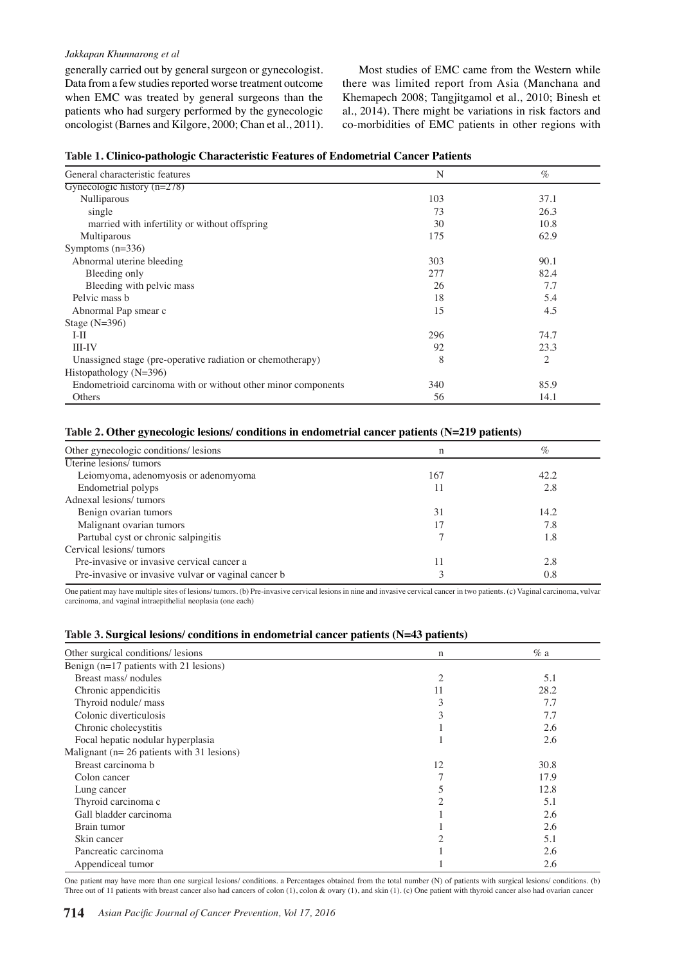#### *Jakkapan Khunnarong et al*

generally carried out by general surgeon or gynecologist. Data from a few studies reported worse treatment outcome when EMC was treated by general surgeons than the patients who had surgery performed by the gynecologic oncologist (Barnes and Kilgore, 2000; Chan et al., 2011).

Most studies of EMC came from the Western while there was limited report from Asia (Manchana and Khemapech 2008; Tangjitgamol et al., 2010; Binesh et al., 2014). There might be variations in risk factors and co-morbidities of EMC patients in other regions with

| General characteristic features                               | N   | $\%$ |
|---------------------------------------------------------------|-----|------|
| Gynecologic history $(n=278)$                                 |     |      |
| Nulliparous                                                   | 103 | 37.1 |
| single                                                        | 73  | 26.3 |
| married with infertility or without offspring                 | 30  | 10.8 |
| Multiparous                                                   | 175 | 62.9 |
| Symptoms $(n=336)$                                            |     |      |
| Abnormal uterine bleeding                                     | 303 | 90.1 |
| Bleeding only                                                 | 277 | 82.4 |
| Bleeding with pelvic mass                                     | 26  | 7.7  |
| Pelvic mass b                                                 | 18  | 5.4  |
| Abnormal Pap smear c                                          | 15  | 4.5  |
| Stage $(N=396)$                                               |     |      |
| $I-II$                                                        | 296 | 74.7 |
| <b>III-IV</b>                                                 | 92  | 23.3 |
| Unassigned stage (pre-operative radiation or chemotherapy)    | 8   | 2    |
| Histopathology (N=396)                                        |     |      |
| Endometrioid carcinoma with or without other minor components | 340 | 85.9 |
| Others                                                        | 56  | 14.1 |

## **Table 2. Other gynecologic lesions/ conditions in endometrial cancer patients (N=219 patients)**

| Other gynecologic conditions/ lesions               | n   | $\%$ |
|-----------------------------------------------------|-----|------|
| Uterine lesions/tumors                              |     |      |
| Leiomyoma, adenomyosis or adenomyoma                | 167 | 42.2 |
| Endometrial polyps                                  | 11  | 2.8  |
| Adnexal lesions/tumors                              |     |      |
| Benign ovarian tumors                               | 31  | 14.2 |
| Malignant ovarian tumors                            | 17  | 7.8  |
| Partubal cyst or chronic salpingitis                |     | 1.8  |
| Cervical lesions/tumors                             |     |      |
| Pre-invasive or invasive cervical cancer a          | 11  | 2.8  |
| Pre-invasive or invasive vulvar or vaginal cancer b |     | 0.8  |

One patient may have multiple sites of lesions/ tumors. (b) Pre-invasive cervical lesions in nine and invasive cervical cancer in two patients. (c) Vaginal carcinoma, vulvar carcinoma, and vaginal intraepithelial neoplasia (one each)

#### **Table 3. Surgical lesions/ conditions in endometrial cancer patients (N=43 patients)**

| Other surgical conditions/ lesions             | n              | $\%$ a |
|------------------------------------------------|----------------|--------|
| Benign (n=17 patients with 21 lesions)         |                |        |
| Breast mass/nodules                            | $\overline{2}$ | 5.1    |
| Chronic appendicitis                           | 11             | 28.2   |
| Thyroid nodule/ mass                           | 3              | 7.7    |
| Colonic diverticulosis                         | 3              | 7.7    |
| Chronic cholecystitis                          |                | 2.6    |
| Focal hepatic nodular hyperplasia              |                | 2.6    |
| Malignant ( $n = 26$ patients with 31 lesions) |                |        |
| Breast carcinoma b                             | 12             | 30.8   |
| Colon cancer                                   |                | 17.9   |
| Lung cancer                                    |                | 12.8   |
| Thyroid carcinoma c                            |                | 5.1    |
| Gall bladder carcinoma                         |                | 2.6    |
| Brain tumor                                    |                | 2.6    |
| Skin cancer                                    |                | 5.1    |
| Pancreatic carcinoma                           |                | 2.6    |
| Appendiceal tumor                              |                | 2.6    |

One patient may have more than one surgical lesions/ conditions. a Percentages obtained from the total number (N) of patients with surgical lesions/ conditions. (b) Three out of 11 patients with breast cancer also had cancers of colon (1), colon & ovary (1), and skin (1). (c) One patient with thyroid cancer also had ovarian cancer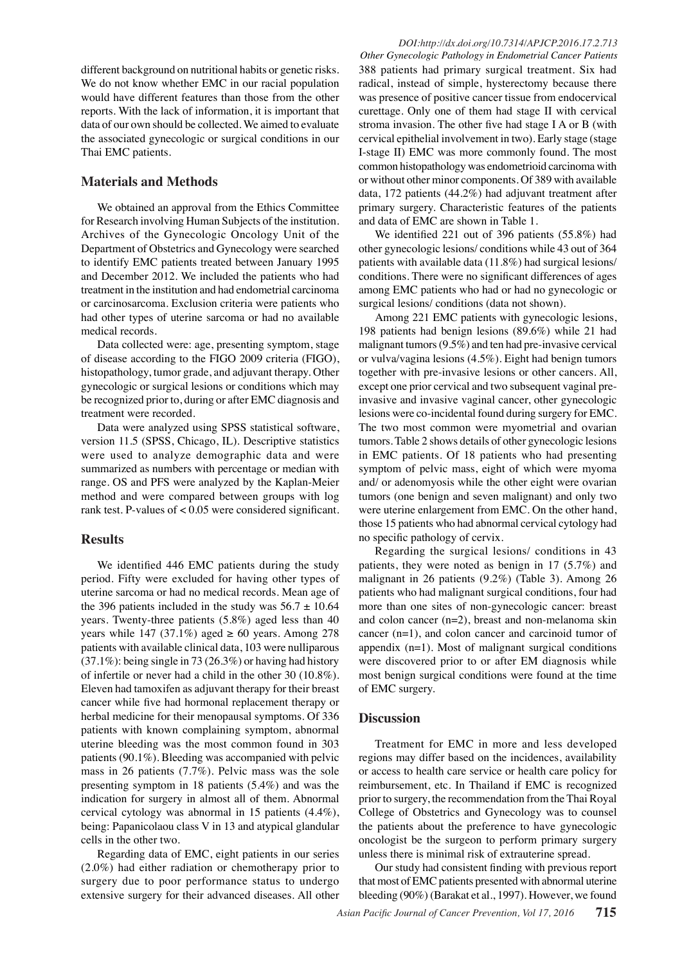different background on nutritional habits or genetic risks. We do not know whether EMC in our racial population would have different features than those from the other reports. With the lack of information, it is important that data of our own should be collected. We aimed to evaluate the associated gynecologic or surgical conditions in our Thai EMC patients.

## **Materials and Methods**

We obtained an approval from the Ethics Committee for Research involving Human Subjects of the institution. Archives of the Gynecologic Oncology Unit of the Department of Obstetrics and Gynecology were searched to identify EMC patients treated between January 1995 and December 2012. We included the patients who had treatment in the institution and had endometrial carcinoma or carcinosarcoma. Exclusion criteria were patients who had other types of uterine sarcoma or had no available medical records.

Data collected were: age, presenting symptom, stage of disease according to the FIGO 2009 criteria (FIGO), histopathology, tumor grade, and adjuvant therapy. Other gynecologic or surgical lesions or conditions which may be recognized prior to, during or after EMC diagnosis and treatment were recorded.

Data were analyzed using SPSS statistical software, version 11.5 (SPSS, Chicago, IL). Descriptive statistics were used to analyze demographic data and were summarized as numbers with percentage or median with range. OS and PFS were analyzed by the Kaplan-Meier method and were compared between groups with log rank test. P-values of < 0.05 were considered significant.

# **Results**

We identified 446 EMC patients during the study period. Fifty were excluded for having other types of uterine sarcoma or had no medical records. Mean age of the 396 patients included in the study was  $56.7 \pm 10.64$ years. Twenty-three patients (5.8%) aged less than 40 years while 147 (37.1%) aged  $\geq 60$  years. Among 278 patients with available clinical data, 103 were nulliparous (37.1%): being single in 73 (26.3%) or having had history of infertile or never had a child in the other 30 (10.8%). Eleven had tamoxifen as adjuvant therapy for their breast cancer while five had hormonal replacement therapy or herbal medicine for their menopausal symptoms. Of 336 patients with known complaining symptom, abnormal uterine bleeding was the most common found in 303 patients (90.1%). Bleeding was accompanied with pelvic mass in 26 patients (7.7%). Pelvic mass was the sole presenting symptom in 18 patients (5.4%) and was the indication for surgery in almost all of them. Abnormal cervical cytology was abnormal in 15 patients (4.4%), being: Papanicolaou class V in 13 and atypical glandular cells in the other two.

Regarding data of EMC, eight patients in our series (2.0%) had either radiation or chemotherapy prior to surgery due to poor performance status to undergo extensive surgery for their advanced diseases. All other

*Other Gynecologic Pathology in Endometrial Cancer Patients* 388 patients had primary surgical treatment. Six had radical, instead of simple, hysterectomy because there was presence of positive cancer tissue from endocervical curettage. Only one of them had stage II with cervical stroma invasion. The other five had stage I A or B (with cervical epithelial involvement in two). Early stage (stage I-stage II) EMC was more commonly found. The most common histopathology was endometrioid carcinoma with or without other minor components. Of 389 with available data, 172 patients (44.2%) had adjuvant treatment after primary surgery. Characteristic features of the patients and data of EMC are shown in Table 1.

We identified 221 out of 396 patients (55.8%) had other gynecologic lesions/ conditions while 43 out of 364 patients with available data (11.8%) had surgical lesions/ conditions. There were no significant differences of ages among EMC patients who had or had no gynecologic or surgical lesions/ conditions (data not shown).

Among 221 EMC patients with gynecologic lesions, 198 patients had benign lesions (89.6%) while 21 had malignant tumors (9.5%) and ten had pre-invasive cervical or vulva/vagina lesions (4.5%). Eight had benign tumors together with pre-invasive lesions or other cancers. All, except one prior cervical and two subsequent vaginal preinvasive and invasive vaginal cancer, other gynecologic lesions were co-incidental found during surgery for EMC. The two most common were myometrial and ovarian tumors. Table 2 shows details of other gynecologic lesions in EMC patients. Of 18 patients who had presenting symptom of pelvic mass, eight of which were myoma and/ or adenomyosis while the other eight were ovarian tumors (one benign and seven malignant) and only two were uterine enlargement from EMC. On the other hand, those 15 patients who had abnormal cervical cytology had no specific pathology of cervix.

Regarding the surgical lesions/ conditions in 43 patients, they were noted as benign in 17 (5.7%) and malignant in 26 patients (9.2%) (Table 3). Among 26 patients who had malignant surgical conditions, four had more than one sites of non-gynecologic cancer: breast and colon cancer (n=2), breast and non-melanoma skin cancer (n=1), and colon cancer and carcinoid tumor of appendix (n=1). Most of malignant surgical conditions were discovered prior to or after EM diagnosis while most benign surgical conditions were found at the time of EMC surgery.

#### **Discussion**

Treatment for EMC in more and less developed regions may differ based on the incidences, availability or access to health care service or health care policy for reimbursement, etc. In Thailand if EMC is recognized prior to surgery, the recommendation from the Thai Royal College of Obstetrics and Gynecology was to counsel the patients about the preference to have gynecologic oncologist be the surgeon to perform primary surgery unless there is minimal risk of extrauterine spread.

Our study had consistent finding with previous report that most of EMC patients presented with abnormal uterine bleeding (90%) (Barakat et al., 1997). However, we found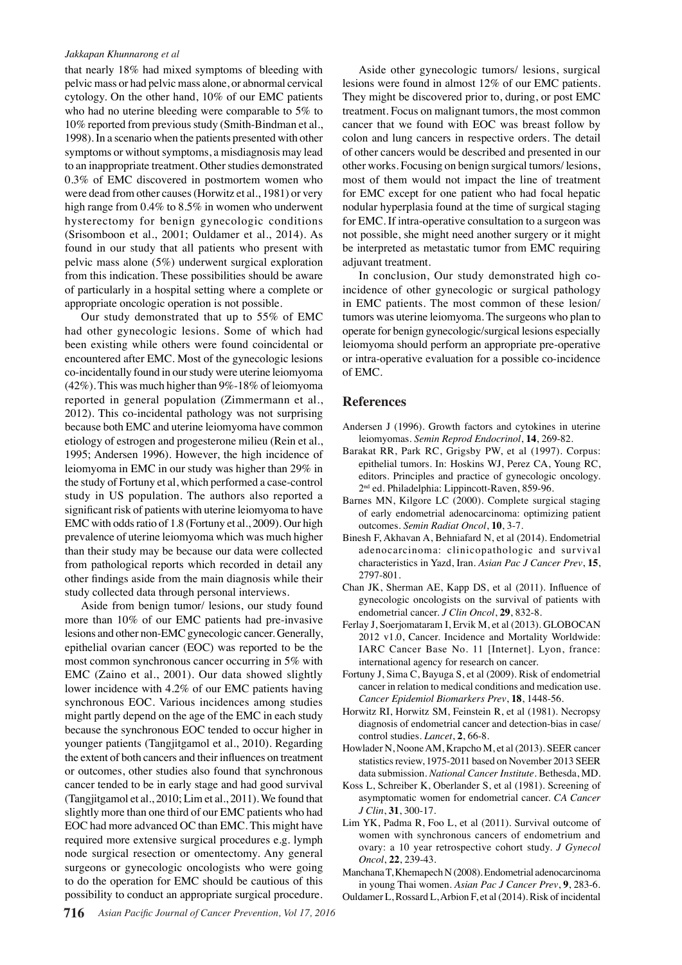#### *Jakkapan Khunnarong et al*

that nearly 18% had mixed symptoms of bleeding with pelvic mass or had pelvic mass alone, or abnormal cervical cytology. On the other hand, 10% of our EMC patients who had no uterine bleeding were comparable to 5% to 10% reported from previous study (Smith-Bindman et al., 1998). In a scenario when the patients presented with other symptoms or without symptoms, a misdiagnosis may lead to an inappropriate treatment. Other studies demonstrated 0.3% of EMC discovered in postmortem women who were dead from other causes (Horwitz et al., 1981) or very high range from 0.4% to 8.5% in women who underwent hysterectomy for benign gynecologic conditions (Srisomboon et al., 2001; Ouldamer et al., 2014). As found in our study that all patients who present with pelvic mass alone (5%) underwent surgical exploration from this indication. These possibilities should be aware of particularly in a hospital setting where a complete or appropriate oncologic operation is not possible.

Our study demonstrated that up to 55% of EMC had other gynecologic lesions. Some of which had been existing while others were found coincidental or encountered after EMC. Most of the gynecologic lesions co-incidentally found in our study were uterine leiomyoma (42%). This was much higher than  $9\%$ -18% of leiomyoma reported in general population (Zimmermann et al., 2012). This co-incidental pathology was not surprising because both EMC and uterine leiomyoma have common etiology of estrogen and progesterone milieu (Rein et al., 1995; Andersen 1996). However, the high incidence of leiomyoma in EMC in our study was higher than 29% in the study of Fortuny et al, which performed a case-control study in US population. The authors also reported a significant risk of patients with uterine leiomyoma to have EMC with odds ratio of 1.8 (Fortuny et al., 2009). Our high prevalence of uterine leiomyoma which was much higher than their study may be because our data were collected from pathological reports which recorded in detail any other findings aside from the main diagnosis while their study collected data through personal interviews.

Aside from benign tumor/ lesions, our study found more than 10% of our EMC patients had pre-invasive lesions and other non-EMC gynecologic cancer. Generally, epithelial ovarian cancer (EOC) was reported to be the most common synchronous cancer occurring in 5% with EMC (Zaino et al., 2001). Our data showed slightly lower incidence with 4.2% of our EMC patients having synchronous EOC. Various incidences among studies might partly depend on the age of the EMC in each study because the synchronous EOC tended to occur higher in younger patients (Tangjitgamol et al., 2010). Regarding the extent of both cancers and their influences on treatment or outcomes, other studies also found that synchronous cancer tended to be in early stage and had good survival (Tangjitgamol et al., 2010; Lim et al., 2011). We found that slightly more than one third of our EMC patients who had EOC had more advanced OC than EMC. This might have required more extensive surgical procedures e.g. lymph node surgical resection or omentectomy. Any general surgeons or gynecologic oncologists who were going to do the operation for EMC should be cautious of this possibility to conduct an appropriate surgical procedure.

Aside other gynecologic tumors/ lesions, surgical lesions were found in almost 12% of our EMC patients. They might be discovered prior to, during, or post EMC treatment. Focus on malignant tumors, the most common cancer that we found with EOC was breast follow by colon and lung cancers in respective orders. The detail of other cancers would be described and presented in our other works. Focusing on benign surgical tumors/ lesions, most of them would not impact the line of treatment for EMC except for one patient who had focal hepatic nodular hyperplasia found at the time of surgical staging for EMC. If intra-operative consultation to a surgeon was not possible, she might need another surgery or it might be interpreted as metastatic tumor from EMC requiring adjuvant treatment.

In conclusion, Our study demonstrated high coincidence of other gynecologic or surgical pathology in EMC patients. The most common of these lesion/ tumors was uterine leiomyoma. The surgeons who plan to operate for benign gynecologic/surgical lesions especially leiomyoma should perform an appropriate pre-operative or intra-operative evaluation for a possible co-incidence of EMC.

#### **References**

- Andersen J (1996). Growth factors and cytokines in uterine leiomyomas. *Semin Reprod Endocrinol*, **14**, 269-82.
- Barakat RR, Park RC, Grigsby PW, et al (1997). Corpus: epithelial tumors. In: Hoskins WJ, Perez CA, Young RC, editors. Principles and practice of gynecologic oncology. 2<sup>nd</sup> ed. Philadelphia: Lippincott-Raven, 859-96.
- Barnes MN, Kilgore LC (2000). Complete surgical staging of early endometrial adenocarcinoma: optimizing patient outcomes. *Semin Radiat Oncol*, **10**, 3-7.
- Binesh F, Akhavan A, Behniafard N, et al (2014). Endometrial adenocarcinoma: clinicopathologic and survival characteristics in Yazd, Iran. *Asian Pac J Cancer Prev*, **15**, 2797-801.
- Chan JK, Sherman AE, Kapp DS, et al (2011). Influence of gynecologic oncologists on the survival of patients with endometrial cancer. *J Clin Oncol*, **29**, 832-8.
- Ferlay J, Soerjomataram I, Ervik M, et al (2013). GLOBOCAN 2012 v1.0, Cancer. Incidence and Mortality Worldwide: IARC Cancer Base No. 11 [Internet]. Lyon, france: international agency for research on cancer.
- Fortuny J, Sima C, Bayuga S, et al (2009). Risk of endometrial cancer in relation to medical conditions and medication use. *Cancer Epidemiol Biomarkers Prev*, **18**, 1448-56.
- Horwitz RI, Horwitz SM, Feinstein R, et al (1981). Necropsy diagnosis of endometrial cancer and detection-bias in case/ control studies. *Lancet*, **2**, 66-8.
- Howlader N, Noone AM, Krapcho M, et al (2013). SEER cancer statistics review, 1975-2011 based on November 2013 SEER data submission. *National Cancer Institute*. Bethesda, MD.
- Koss L, Schreiber K, Oberlander S, et al (1981). Screening of asymptomatic women for endometrial cancer. *CA Cancer J Clin*, **31**, 300-17.
- Lim YK, Padma R, Foo L, et al (2011). Survival outcome of women with synchronous cancers of endometrium and ovary: a 10 year retrospective cohort study. *J Gynecol Oncol*, **22**, 239-43.
- Manchana T, Khemapech N (2008). Endometrial adenocarcinoma in young Thai women. *Asian Pac J Cancer Prev*, **9**, 283-6.
- Ouldamer L, Rossard L, Arbion F, et al (2014). Risk of incidental